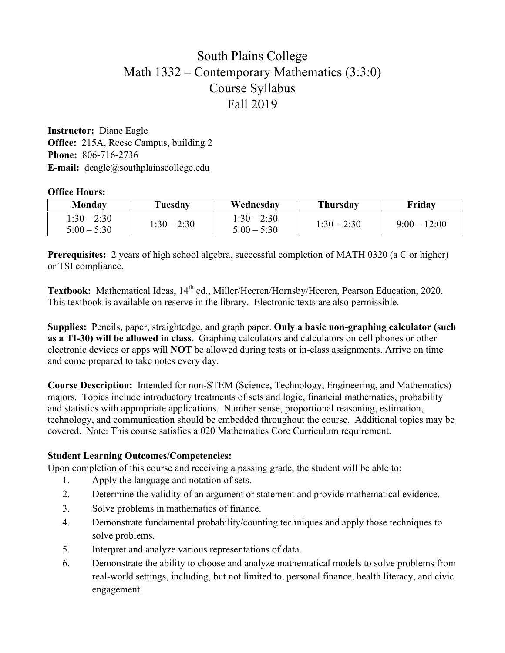## South Plains College Math 1332 – Contemporary Mathematics (3:3:0) Course Syllabus Fall 2019

**Instructor:** Diane Eagle **Office:** 215A, Reese Campus, building 2 **Phone:** 806-716-2736 **E-mail:** deagle@southplainscollege.edu

#### **Office Hours:**

| Mondav                         | Tuesday       | Wednesdav                      | Thursdav      | Friday       |
|--------------------------------|---------------|--------------------------------|---------------|--------------|
| $1:30 - 2:30$<br>$5:00 - 5:30$ | $1:30 - 2:30$ | $1:30 - 2:30$<br>$5:00 - 5:30$ | $1:30 - 2:30$ | $9:00-12:00$ |

**Prerequisites:** 2 years of high school algebra, successful completion of MATH 0320 (a C or higher) or TSI compliance.

Textbook: Mathematical Ideas, 14<sup>th</sup> ed., Miller/Heeren/Hornsby/Heeren, Pearson Education, 2020. This textbook is available on reserve in the library. Electronic texts are also permissible.

**Supplies:** Pencils, paper, straightedge, and graph paper. **Only a basic non-graphing calculator (such as a TI-30) will be allowed in class.** Graphing calculators and calculators on cell phones or other electronic devices or apps will **NOT** be allowed during tests or in-class assignments. Arrive on time and come prepared to take notes every day.

**Course Description:** Intended for non-STEM (Science, Technology, Engineering, and Mathematics) majors. Topics include introductory treatments of sets and logic, financial mathematics, probability and statistics with appropriate applications. Number sense, proportional reasoning, estimation, technology, and communication should be embedded throughout the course. Additional topics may be covered. Note: This course satisfies a 020 Mathematics Core Curriculum requirement.

#### **Student Learning Outcomes/Competencies:**

Upon completion of this course and receiving a passing grade, the student will be able to:

- 1. Apply the language and notation of sets.
- 2. Determine the validity of an argument or statement and provide mathematical evidence.
- 3. Solve problems in mathematics of finance.
- 4. Demonstrate fundamental probability/counting techniques and apply those techniques to solve problems.
- 5. Interpret and analyze various representations of data.
- 6. Demonstrate the ability to choose and analyze mathematical models to solve problems from real-world settings, including, but not limited to, personal finance, health literacy, and civic engagement.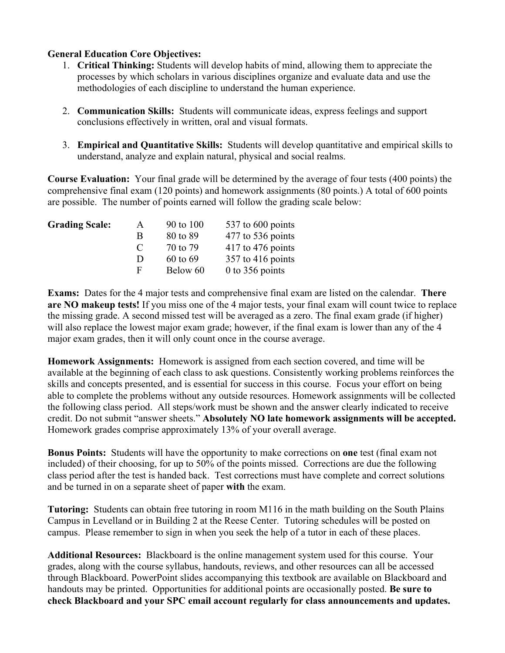### **General Education Core Objectives:**

- 1. **Critical Thinking:** Students will develop habits of mind, allowing them to appreciate the processes by which scholars in various disciplines organize and evaluate data and use the methodologies of each discipline to understand the human experience.
- 2. **Communication Skills:** Students will communicate ideas, express feelings and support conclusions effectively in written, oral and visual formats.
- 3. **Empirical and Quantitative Skills:** Students will develop quantitative and empirical skills to understand, analyze and explain natural, physical and social realms.

**Course Evaluation:** Your final grade will be determined by the average of four tests (400 points) the comprehensive final exam (120 points) and homework assignments (80 points.) A total of 600 points are possible. The number of points earned will follow the grading scale below:

| <b>Grading Scale:</b> | A             | 90 to 100 | 537 to 600 points   |
|-----------------------|---------------|-----------|---------------------|
|                       | B             | 80 to 89  | $477$ to 536 points |
|                       | $\mathcal{C}$ | 70 to 79  | $417$ to 476 points |
|                       | Ð             | 60 to 69  | $357$ to 416 points |
|                       | F             | Below 60  | 0 to 356 points     |

**Exams:** Dates for the 4 major tests and comprehensive final exam are listed on the calendar. **There are NO makeup tests!** If you miss one of the 4 major tests, your final exam will count twice to replace the missing grade. A second missed test will be averaged as a zero. The final exam grade (if higher) will also replace the lowest major exam grade; however, if the final exam is lower than any of the 4 major exam grades, then it will only count once in the course average.

**Homework Assignments:** Homework is assigned from each section covered, and time will be available at the beginning of each class to ask questions. Consistently working problems reinforces the skills and concepts presented, and is essential for success in this course. Focus your effort on being able to complete the problems without any outside resources. Homework assignments will be collected the following class period. All steps/work must be shown and the answer clearly indicated to receive credit. Do not submit "answer sheets." **Absolutely NO late homework assignments will be accepted.**  Homework grades comprise approximately 13% of your overall average.

**Bonus Points:** Students will have the opportunity to make corrections on **one** test (final exam not included) of their choosing, for up to 50% of the points missed. Corrections are due the following class period after the test is handed back. Test corrections must have complete and correct solutions and be turned in on a separate sheet of paper **with** the exam.

**Tutoring:** Students can obtain free tutoring in room M116 in the math building on the South Plains Campus in Levelland or in Building 2 at the Reese Center. Tutoring schedules will be posted on campus. Please remember to sign in when you seek the help of a tutor in each of these places.

**Additional Resources:** Blackboard is the online management system used for this course. Your grades, along with the course syllabus, handouts, reviews, and other resources can all be accessed through Blackboard. PowerPoint slides accompanying this textbook are available on Blackboard and handouts may be printed. Opportunities for additional points are occasionally posted. **Be sure to check Blackboard and your SPC email account regularly for class announcements and updates.**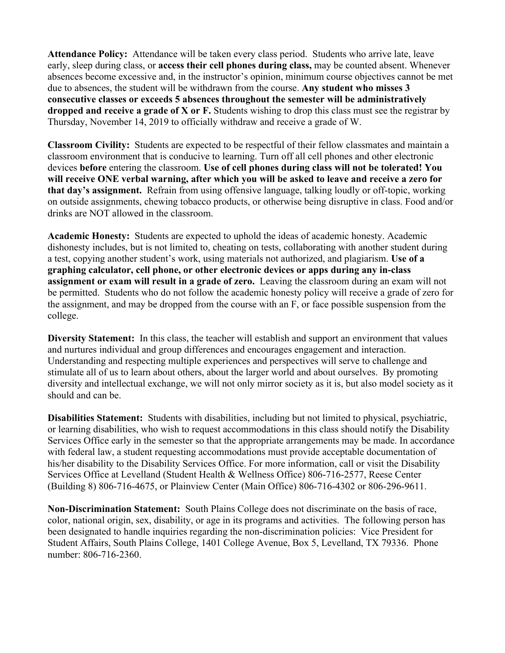**Attendance Policy:** Attendance will be taken every class period. Students who arrive late, leave early, sleep during class, or **access their cell phones during class,** may be counted absent. Whenever absences become excessive and, in the instructor's opinion, minimum course objectives cannot be met due to absences, the student will be withdrawn from the course. **Any student who misses 3 consecutive classes or exceeds 5 absences throughout the semester will be administratively dropped and receive a grade of X or F.** Students wishing to drop this class must see the registrar by Thursday, November 14, 2019 to officially withdraw and receive a grade of W.

**Classroom Civility:** Students are expected to be respectful of their fellow classmates and maintain a classroom environment that is conducive to learning. Turn off all cell phones and other electronic devices **before** entering the classroom. **Use of cell phones during class will not be tolerated! You will receive ONE verbal warning, after which you will be asked to leave and receive a zero for that day's assignment.** Refrain from using offensive language, talking loudly or off-topic, working on outside assignments, chewing tobacco products, or otherwise being disruptive in class. Food and/or drinks are NOT allowed in the classroom.

**Academic Honesty:** Students are expected to uphold the ideas of academic honesty. Academic dishonesty includes, but is not limited to, cheating on tests, collaborating with another student during a test, copying another student's work, using materials not authorized, and plagiarism. **Use of a graphing calculator, cell phone, or other electronic devices or apps during any in-class assignment or exam will result in a grade of zero.** Leaving the classroom during an exam will not be permitted. Students who do not follow the academic honesty policy will receive a grade of zero for the assignment, and may be dropped from the course with an F, or face possible suspension from the college.

**Diversity Statement:** In this class, the teacher will establish and support an environment that values and nurtures individual and group differences and encourages engagement and interaction. Understanding and respecting multiple experiences and perspectives will serve to challenge and stimulate all of us to learn about others, about the larger world and about ourselves. By promoting diversity and intellectual exchange, we will not only mirror society as it is, but also model society as it should and can be.

**Disabilities Statement:** Students with disabilities, including but not limited to physical, psychiatric, or learning disabilities, who wish to request accommodations in this class should notify the Disability Services Office early in the semester so that the appropriate arrangements may be made. In accordance with federal law, a student requesting accommodations must provide acceptable documentation of his/her disability to the Disability Services Office. For more information, call or visit the Disability Services Office at Levelland (Student Health & Wellness Office) 806-716-2577, Reese Center (Building 8) 806-716-4675, or Plainview Center (Main Office) 806-716-4302 or 806-296-9611.

**Non-Discrimination Statement:** South Plains College does not discriminate on the basis of race, color, national origin, sex, disability, or age in its programs and activities. The following person has been designated to handle inquiries regarding the non-discrimination policies: Vice President for Student Affairs, South Plains College, 1401 College Avenue, Box 5, Levelland, TX 79336. Phone number: 806-716-2360.